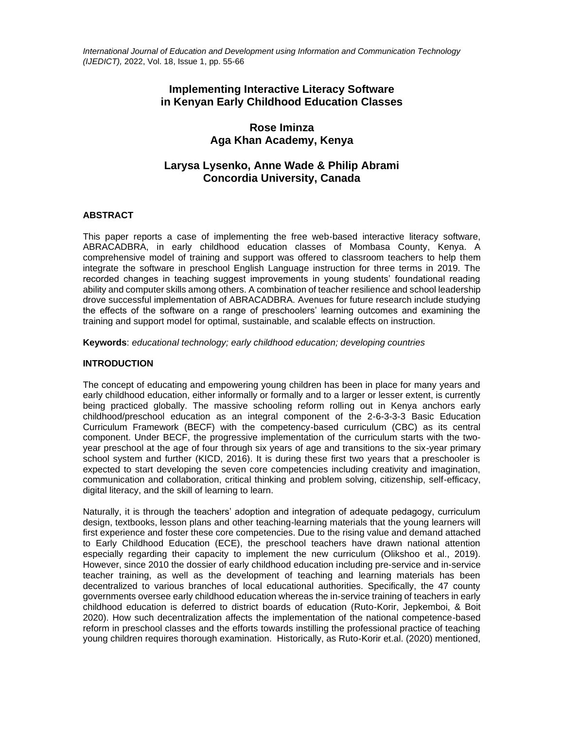*International Journal of Education and Development using Information and Communication Technology (IJEDICT),* 2022, Vol. 18, Issue 1, pp. 55-66

# **Implementing Interactive Literacy Software in Kenyan Early Childhood Education Classes**

# **Rose Iminza Aga Khan Academy, Kenya**

# **Larysa Lysenko, Anne Wade & Philip Abrami Concordia University, Canada**

## **ABSTRACT**

This paper reports a case of implementing the free web-based interactive literacy software, ABRACADBRA, in early childhood education classes of Mombasa County, Kenya. A comprehensive model of training and support was offered to classroom teachers to help them integrate the software in preschool English Language instruction for three terms in 2019. The recorded changes in teaching suggest improvements in young students' foundational reading ability and computer skills among others. A combination of teacher resilience and school leadership drove successful implementation of ABRACADBRA. Avenues for future research include studying the effects of the software on a range of preschoolers' learning outcomes and examining the training and support model for optimal, sustainable, and scalable effects on instruction.

**Keywords**: *educational technology; early childhood education; developing countries*

## **INTRODUCTION**

The concept of educating and empowering young children has been in place for many years and early childhood education, either informally or formally and to a larger or lesser extent, is currently being practiced globally. The massive schooling reform rolling out in Kenya anchors early childhood/preschool education as an integral component of the 2-6-3-3-3 Basic Education Curriculum Framework (BECF) with the competency-based curriculum (CBC) as its central component. Under BECF, the progressive implementation of the curriculum starts with the twoyear preschool at the age of four through six years of age and transitions to the six-year primary school system and further (KICD, 2016). It is during these first two years that a preschooler is expected to start developing the seven core competencies including creativity and imagination, communication and collaboration, critical thinking and problem solving, citizenship, self-efficacy, digital literacy, and the skill of learning to learn.

Naturally, it is through the teachers' adoption and integration of adequate pedagogy, curriculum design, textbooks, lesson plans and other teaching-learning materials that the young learners will first experience and foster these core competencies. Due to the rising value and demand attached to Early Childhood Education (ECE), the preschool teachers have drawn national attention especially regarding their capacity to implement the new curriculum (Olikshoo et al., 2019). However, since 2010 the dossier of early childhood education including pre-service and in-service teacher training, as well as the development of teaching and learning materials has been decentralized to various branches of local educational authorities. Specifically, the 47 county governments oversee early childhood education whereas the in-service training of teachers in early childhood education is deferred to district boards of education (Ruto-Korir, Jepkemboi, & Boit 2020). How such decentralization affects the implementation of the national competence-based reform in preschool classes and the efforts towards instilling the professional practice of teaching young children requires thorough examination. Historically, as Ruto-Korir et.al. (2020) mentioned,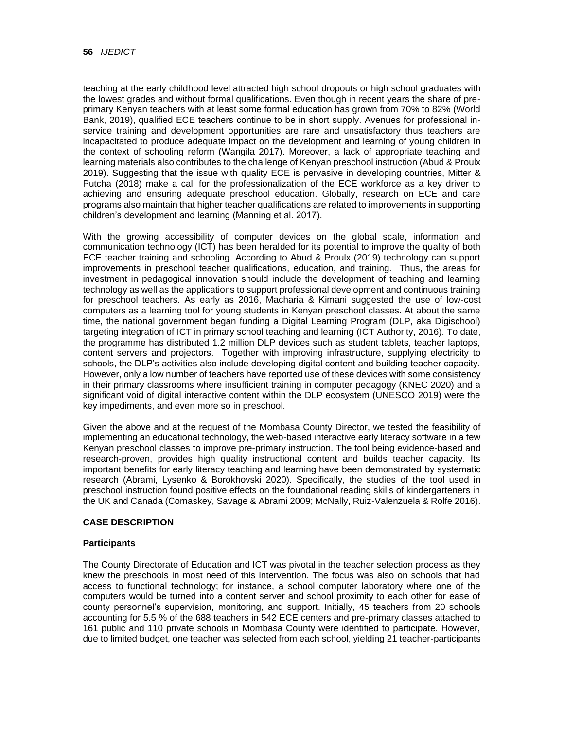teaching at the early childhood level attracted high school dropouts or high school graduates with the lowest grades and without formal qualifications. Even though in recent years the share of preprimary Kenyan teachers with at least some formal education has grown from 70% to 82% (World Bank, 2019), qualified ECE teachers continue to be in short supply. Avenues for professional inservice training and development opportunities are rare and unsatisfactory thus teachers are incapacitated to produce adequate impact on the development and learning of young children in the context of schooling reform (Wangila 2017). Moreover, a lack of appropriate teaching and learning materials also contributes to the challenge of Kenyan preschool instruction (Abud & Proulx 2019). Suggesting that the issue with quality ECE is pervasive in developing countries, Mitter & Putcha (2018) make a call for the professionalization of the ECE workforce as a key driver to achieving and ensuring adequate preschool education. Globally, research on ECE and care programs also maintain that higher teacher qualifications are related to improvements in supporting children's development and learning (Manning et al. 2017).

With the growing accessibility of computer devices on the global scale, information and communication technology (ICT) has been heralded for its potential to improve the quality of both ECE teacher training and schooling. According to Abud & Proulx (2019) technology can support improvements in preschool teacher qualifications, education, and training. Thus, the areas for investment in pedagogical innovation should include the development of teaching and learning technology as well as the applications to support professional development and continuous training for preschool teachers. As early as 2016, Macharia & Kimani suggested the use of low-cost computers as a learning tool for young students in Kenyan preschool classes. At about the same time, the national government began funding a Digital Learning Program (DLP, aka Digischool) targeting integration of ICT in primary school teaching and learning (ICT Authority, 2016). To date, the programme has distributed 1.2 million DLP devices such as student tablets, teacher laptops, content servers and projectors. Together with improving infrastructure, supplying electricity to schools, the DLP's activities also include developing digital content and building teacher capacity. However, only a low number of teachers have reported use of these devices with some consistency in their primary classrooms where insufficient training in computer pedagogy (KNEC 2020) and a significant void of digital interactive content within the DLP ecosystem (UNESCO 2019) were the key impediments, and even more so in preschool.

Given the above and at the request of the Mombasa County Director, we tested the feasibility of implementing an educational technology, the web-based interactive early literacy software in a few Kenyan preschool classes to improve pre-primary instruction. The tool being evidence-based and research-proven, provides high quality instructional content and builds teacher capacity. Its important benefits for early literacy teaching and learning have been demonstrated by systematic research (Abrami, Lysenko & Borokhovski 2020). Specifically, the studies of the tool used in preschool instruction found positive effects on the foundational reading skills of kindergarteners in the UK and Canada (Comaskey, Savage & Abrami 2009; McNally, Ruiz-Valenzuela & Rolfe 2016).

## **CASE DESCRIPTION**

## **Participants**

The County Directorate of Education and ICT was pivotal in the teacher selection process as they knew the preschools in most need of this intervention. The focus was also on schools that had access to functional technology; for instance, a school computer laboratory where one of the computers would be turned into a content server and school proximity to each other for ease of county personnel's supervision, monitoring, and support. Initially, 45 teachers from 20 schools accounting for 5.5 % of the 688 teachers in 542 ECE centers and pre-primary classes attached to 161 public and 110 private schools in Mombasa County were identified to participate. However, due to limited budget, one teacher was selected from each school, yielding 21 teacher-participants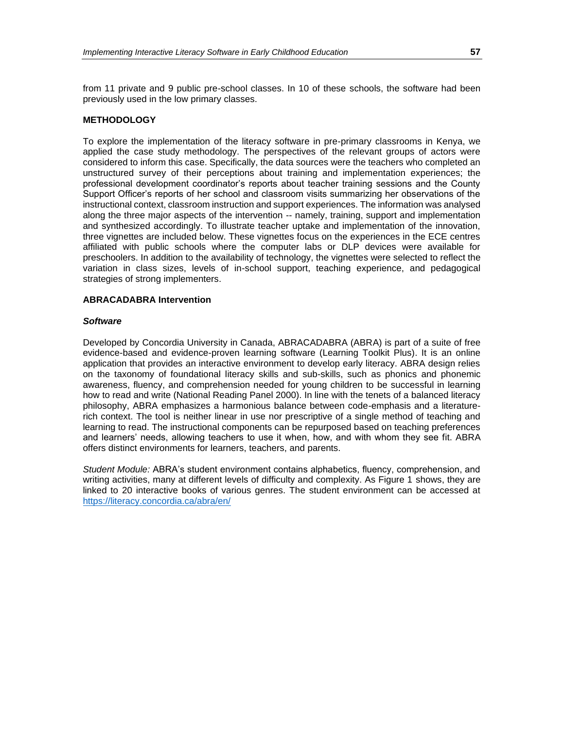from 11 private and 9 public pre-school classes. In 10 of these schools, the software had been previously used in the low primary classes.

#### **METHODOLOGY**

To explore the implementation of the literacy software in pre-primary classrooms in Kenya, we applied the case study methodology. The perspectives of the relevant groups of actors were considered to inform this case. Specifically, the data sources were the teachers who completed an unstructured survey of their perceptions about training and implementation experiences; the professional development coordinator's reports about teacher training sessions and the County Support Officer's reports of her school and classroom visits summarizing her observations of the instructional context, classroom instruction and support experiences. The information was analysed along the three major aspects of the intervention -- namely, training, support and implementation and synthesized accordingly. To illustrate teacher uptake and implementation of the innovation, three vignettes are included below. These vignettes focus on the experiences in the ECE centres affiliated with public schools where the computer labs or DLP devices were available for preschoolers. In addition to the availability of technology, the vignettes were selected to reflect the variation in class sizes, levels of in-school support, teaching experience, and pedagogical strategies of strong implementers.

#### **ABRACADABRA Intervention**

#### *Software*

Developed by Concordia University in Canada, ABRACADABRA (ABRA) is part of a suite of free evidence-based and evidence-proven learning software (Learning Toolkit Plus). It is an online application that provides an interactive environment to develop early literacy. ABRA design relies on the taxonomy of foundational literacy skills and sub-skills, such as phonics and phonemic awareness, fluency, and comprehension needed for young children to be successful in learning how to read and write (National Reading Panel 2000). In line with the tenets of a balanced literacy philosophy, ABRA emphasizes a harmonious balance between code-emphasis and a literaturerich context. The tool is neither linear in use nor prescriptive of a single method of teaching and learning to read. The instructional components can be repurposed based on teaching preferences and learners' needs, allowing teachers to use it when, how, and with whom they see fit. ABRA offers distinct environments for learners, teachers, and parents.

*Student Module:* ABRA's student environment contains alphabetics, fluency, comprehension, and writing activities, many at different levels of difficulty and complexity. As Figure 1 shows, they are linked to 20 interactive books of various genres. The student environment can be accessed at <https://literacy.concordia.ca/abra/en/>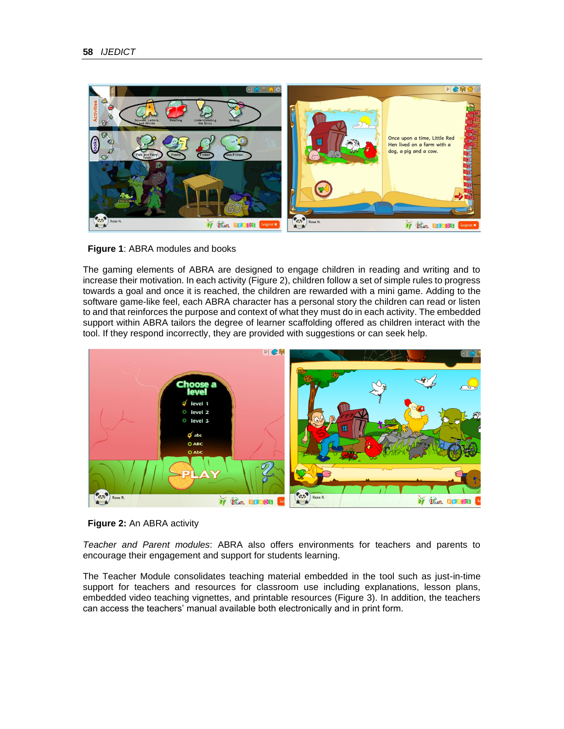



The gaming elements of ABRA are designed to engage children in reading and writing and to increase their motivation. In each activity (Figure 2), children follow a set of simple rules to progress towards a goal and once it is reached, the children are rewarded with a mini game. Adding to the software game-like feel, each ABRA character has a personal story the children can read or listen to and that reinforces the purpose and context of what they must do in each activity. The embedded support within ABRA tailors the degree of learner scaffolding offered as children interact with the tool. If they respond incorrectly, they are provided with suggestions or can seek help.



**Figure 2:** An ABRA activity

*Teacher and Parent modules*: ABRA also offers environments for teachers and parents to encourage their engagement and support for students learning.

The Teacher Module consolidates teaching material embedded in the tool such as just-in-time support for teachers and resources for classroom use including explanations, lesson plans, embedded video teaching vignettes, and printable resources (Figure 3). In addition, the teachers can access the teachers' manual available both electronically and in print form.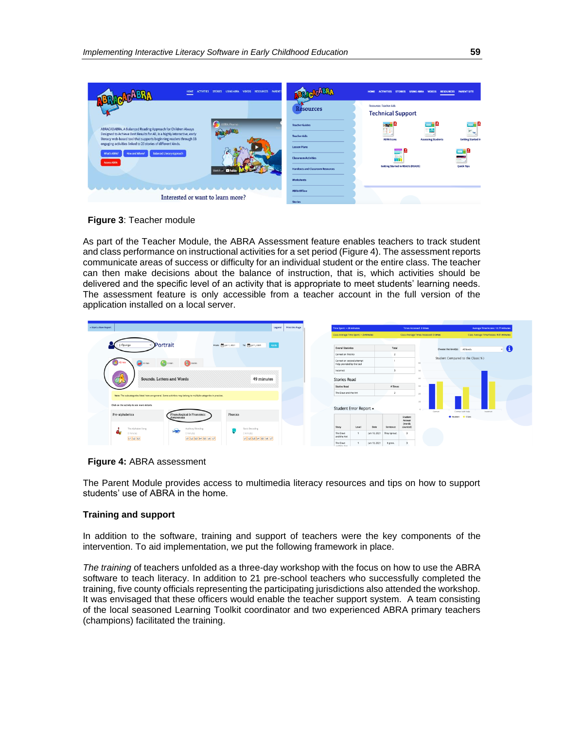| PARENT<br><b>VIDEOS</b><br><b>ACTIVITIES</b><br><b>STORIES</b><br><b>LISING ARRA</b><br><b>RESOURCES</b>                                                                                                                            |                                                       | <b>PARENT SITE</b><br>HOME<br><b>ACTIVITIES</b><br><b>STORIES</b><br><b>LISING ARRA</b><br><b>VIDEOS</b><br><b>RESOURCES</b> |                          |
|-------------------------------------------------------------------------------------------------------------------------------------------------------------------------------------------------------------------------------------|-------------------------------------------------------|------------------------------------------------------------------------------------------------------------------------------|--------------------------|
|                                                                                                                                                                                                                                     | Resources                                             | <b>Resources: Teacher Aids</b><br><b>Technical Support</b>                                                                   |                          |
| <b>ABRA Promo</b><br>ABRACADABRA, A Balanced Reading Approach for Children Always<br>Designed to Achieve Best Results for All, is a highly interactive, early<br>literacy web-based tool that supports beginning readers through 33 | <b>Teacher Guides</b><br><b>Teacher Aids</b>          | aszil B<br>- 8<br>Πŧ,<br><b>ABRA Icons</b><br><b>Getting Started in</b><br><b>Assessing Students</b>                         | - 8<br>$\omega_{\rm{m}}$ |
| engaging activities linked to 20 stories of different kinds.<br><b>Balanced Literary Approach</b><br>How and Where?<br><b>What's ABRA?</b><br><b>Access ABRA</b>                                                                    | <b>Lesson Plans</b><br><b>Classroom Activities</b>    | Ð<br>드<br>÷<br>$-1$<br>- 1                                                                                                   |                          |
| Watch on<br>$\sim$ 100                                                                                                                                                                                                              | <b>Handouts and Classroom Resources</b><br>Worksheets | <b>Getting Started in READS (READS)</b><br><b>Quick Tips</b>                                                                 |                          |
|                                                                                                                                                                                                                                     | <b>ABRA Offline</b>                                   |                                                                                                                              |                          |
| Interested or want to learn more?                                                                                                                                                                                                   | <b>Charles</b>                                        |                                                                                                                              |                          |

**Figure 3**: Teacher module

As part of the Teacher Module, the ABRA Assessment feature enables teachers to track student and class performance on instructional activities for a set period (Figure 4). The assessment reports communicate areas of success or difficulty for an individual student or the entire class. The teacher can then make decisions about the balance of instruction, that is, which activities should be delivered and the specific level of an activity that is appropriate to meet students' learning needs. The assessment feature is only accessible from a teacher account in the full version of the application installed on a local server.

| « Start a New Report                                                                                                       | Print this Page<br>Legend |                         | Time Spent: - 26 minutes                               |              | Times Accessed: 2 times |                                         |                            |                                 | Average Time/Access: 12.77 minutes |                                         |  |
|----------------------------------------------------------------------------------------------------------------------------|---------------------------|-------------------------|--------------------------------------------------------|--------------|-------------------------|-----------------------------------------|----------------------------|---------------------------------|------------------------------------|-----------------------------------------|--|
|                                                                                                                            |                           |                         | Class Average Time Spent: ~ 2 minutes                  |              | <b>Service</b>          | Class Average Times Accessed: 0 times   |                            |                                 |                                    | Class Average Time/Access: 9.01 minutes |  |
| Portrait<br>From: 1 Jun 1, 2021<br>To: 3011, 2021 Apply<br>J. Opunga                                                       |                           | Overall Statistics      |                                                        |              | Total                   |                                         |                            | Choose the level(s): All levels |                                    | - 0                                     |  |
|                                                                                                                            |                           |                         | Correct on first try                                   |              |                         |                                         |                            |                                 |                                    |                                         |  |
| <b>Comin</b><br><b>Co</b> Dmin<br>0 min                                                                                    |                           |                         | Correct on second attempt<br>Help provided by the tool |              |                         |                                         | 60                         |                                 | Student Compared to the Class(%)   |                                         |  |
|                                                                                                                            |                           | Incorrect               |                                                        |              |                         |                                         | 50                         |                                 |                                    |                                         |  |
| Sounds, Letters and Words<br>49 minutes                                                                                    |                           |                         | <b>Stories Read</b>                                    |              |                         | 40                                      |                            |                                 |                                    |                                         |  |
|                                                                                                                            |                           | <b>Stories Read</b>     |                                                        |              | # Times                 |                                         | 30                         |                                 |                                    |                                         |  |
| Note: The subcategories listed here are general. Some activities may belong to multiple categories in practice.            |                           |                         | The Dove and the Ant                                   |              |                         |                                         | 20                         |                                 |                                    |                                         |  |
| Click on the activity to see more details.<br>Phonics                                                                      |                           |                         | Student Error Report -                                 |              |                         |                                         | $30 -$<br>$D -$<br>Correct |                                 | Correct with help                  | Incorrect                               |  |
| Pre-alphabetics<br>Phonological & Phonemic<br>Awareness<br>The Alphabet Song<br><b>Basic Decoding</b><br>Auditory Blending |                           | Story                   | Level                                                  | Date         | Sentence                | Student<br>Answer<br>twords<br>counted) |                            |                                 | Student Class                      |                                         |  |
| $\rightarrow$<br>0 minutes<br>0 minutes<br>0 minutes<br>$UUZ$ 13<br>U 2 3 4 5 6 7<br>L1 2 3 4 5 5 6 17                     |                           | The Dove<br>and the Ant |                                                        | Jun 18, 2021 | They sprout.            |                                         |                            |                                 |                                    |                                         |  |
|                                                                                                                            |                           | The Dove<br>had the Art |                                                        | Jun 18, 2021 | it grew.                |                                         |                            |                                 |                                    |                                         |  |

**Figure 4:** ABRA assessment

The Parent Module provides access to multimedia literacy resources and tips on how to support students' use of ABRA in the home.

## **Training and support**

In addition to the software, training and support of teachers were the key components of the intervention. To aid implementation, we put the following framework in place.

*The training* of teachers unfolded as a three-day workshop with the focus on how to use the ABRA software to teach literacy. In addition to 21 pre-school teachers who successfully completed the training, five county officials representing the participating jurisdictions also attended the workshop. It was envisaged that these officers would enable the teacher support system. A team consisting of the local seasoned Learning Toolkit coordinator and two experienced ABRA primary teachers (champions) facilitated the training.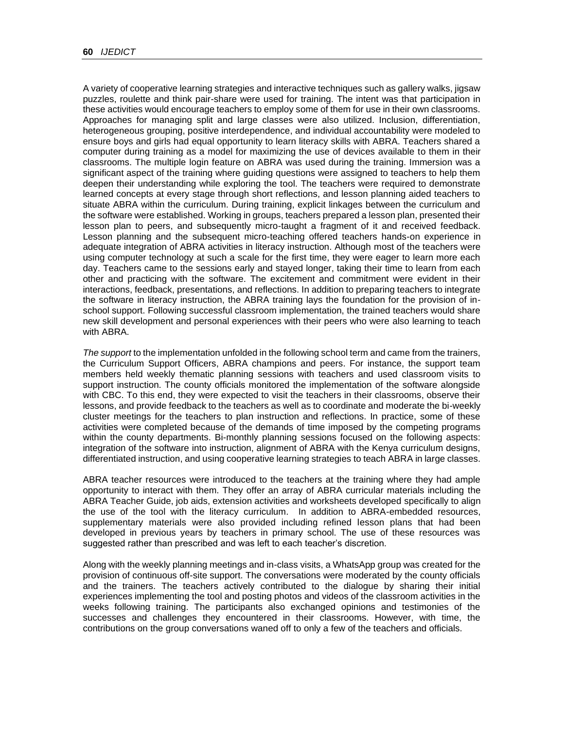A variety of cooperative learning strategies and interactive techniques such as gallery walks, jigsaw puzzles, roulette and think pair-share were used for training. The intent was that participation in these activities would encourage teachers to employ some of them for use in their own classrooms. Approaches for managing split and large classes were also utilized. Inclusion, differentiation, heterogeneous grouping, positive interdependence, and individual accountability were modeled to ensure boys and girls had equal opportunity to learn literacy skills with ABRA. Teachers shared a computer during training as a model for maximizing the use of devices available to them in their classrooms. The multiple login feature on ABRA was used during the training. Immersion was a significant aspect of the training where guiding questions were assigned to teachers to help them deepen their understanding while exploring the tool. The teachers were required to demonstrate learned concepts at every stage through short reflections, and lesson planning aided teachers to situate ABRA within the curriculum. During training, explicit linkages between the curriculum and the software were established. Working in groups, teachers prepared a lesson plan, presented their lesson plan to peers, and subsequently micro-taught a fragment of it and received feedback. Lesson planning and the subsequent micro-teaching offered teachers hands-on experience in adequate integration of ABRA activities in literacy instruction. Although most of the teachers were using computer technology at such a scale for the first time, they were eager to learn more each day. Teachers came to the sessions early and stayed longer, taking their time to learn from each other and practicing with the software. The excitement and commitment were evident in their interactions, feedback, presentations, and reflections. In addition to preparing teachers to integrate the software in literacy instruction, the ABRA training lays the foundation for the provision of inschool support. Following successful classroom implementation, the trained teachers would share new skill development and personal experiences with their peers who were also learning to teach with ABRA.

*The support* to the implementation unfolded in the following school term and came from the trainers, the Curriculum Support Officers, ABRA champions and peers. For instance, the support team members held weekly thematic planning sessions with teachers and used classroom visits to support instruction. The county officials monitored the implementation of the software alongside with CBC. To this end, they were expected to visit the teachers in their classrooms, observe their lessons, and provide feedback to the teachers as well as to coordinate and moderate the bi-weekly cluster meetings for the teachers to plan instruction and reflections. In practice, some of these activities were completed because of the demands of time imposed by the competing programs within the county departments. Bi-monthly planning sessions focused on the following aspects: integration of the software into instruction, alignment of ABRA with the Kenya curriculum designs, differentiated instruction, and using cooperative learning strategies to teach ABRA in large classes.

ABRA teacher resources were introduced to the teachers at the training where they had ample opportunity to interact with them. They offer an array of ABRA curricular materials including the ABRA Teacher Guide, job aids, extension activities and worksheets developed specifically to align the use of the tool with the literacy curriculum. In addition to ABRA-embedded resources, supplementary materials were also provided including refined lesson plans that had been developed in previous years by teachers in primary school. The use of these resources was suggested rather than prescribed and was left to each teacher's discretion.

Along with the weekly planning meetings and in-class visits, a WhatsApp group was created for the provision of continuous off-site support. The conversations were moderated by the county officials and the trainers. The teachers actively contributed to the dialogue by sharing their initial experiences implementing the tool and posting photos and videos of the classroom activities in the weeks following training. The participants also exchanged opinions and testimonies of the successes and challenges they encountered in their classrooms. However, with time, the contributions on the group conversations waned off to only a few of the teachers and officials.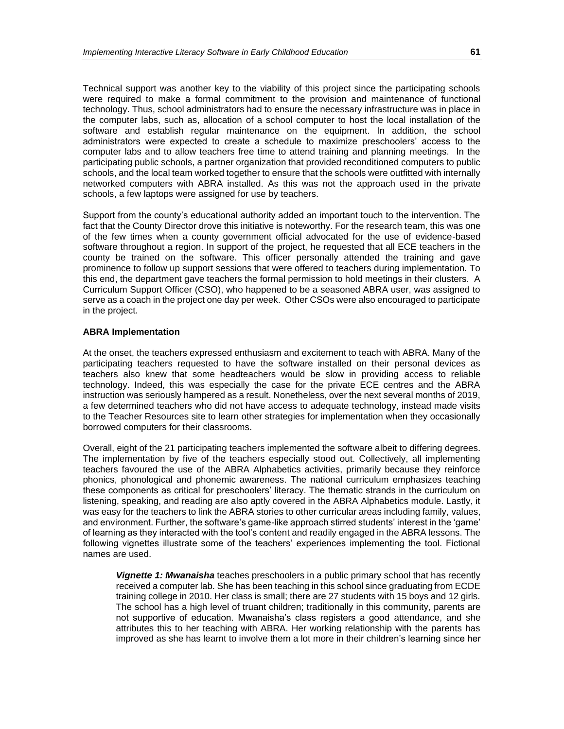Technical support was another key to the viability of this project since the participating schools were required to make a formal commitment to the provision and maintenance of functional technology. Thus, school administrators had to ensure the necessary infrastructure was in place in the computer labs, such as, allocation of a school computer to host the local installation of the software and establish regular maintenance on the equipment. In addition, the school administrators were expected to create a schedule to maximize preschoolers' access to the computer labs and to allow teachers free time to attend training and planning meetings. In the participating public schools, a partner organization that provided reconditioned computers to public schools, and the local team worked together to ensure that the schools were outfitted with internally networked computers with ABRA installed. As this was not the approach used in the private schools, a few laptops were assigned for use by teachers.

Support from the county's educational authority added an important touch to the intervention. The fact that the County Director drove this initiative is noteworthy. For the research team, this was one of the few times when a county government official advocated for the use of evidence-based software throughout a region. In support of the project, he requested that all ECE teachers in the county be trained on the software. This officer personally attended the training and gave prominence to follow up support sessions that were offered to teachers during implementation. To this end, the department gave teachers the formal permission to hold meetings in their clusters. A Curriculum Support Officer (CSO), who happened to be a seasoned ABRA user, was assigned to serve as a coach in the project one day per week. Other CSOs were also encouraged to participate in the project.

#### **ABRA Implementation**

At the onset, the teachers expressed enthusiasm and excitement to teach with ABRA. Many of the participating teachers requested to have the software installed on their personal devices as teachers also knew that some headteachers would be slow in providing access to reliable technology. Indeed, this was especially the case for the private ECE centres and the ABRA instruction was seriously hampered as a result. Nonetheless, over the next several months of 2019, a few determined teachers who did not have access to adequate technology, instead made visits to the Teacher Resources site to learn other strategies for implementation when they occasionally borrowed computers for their classrooms.

Overall, eight of the 21 participating teachers implemented the software albeit to differing degrees. The implementation by five of the teachers especially stood out. Collectively, all implementing teachers favoured the use of the ABRA Alphabetics activities, primarily because they reinforce phonics, phonological and phonemic awareness. The national curriculum emphasizes teaching these components as critical for preschoolers' literacy. The thematic strands in the curriculum on listening, speaking, and reading are also aptly covered in the ABRA Alphabetics module. Lastly, it was easy for the teachers to link the ABRA stories to other curricular areas including family, values, and environment. Further, the software's game-like approach stirred students' interest in the 'game' of learning as they interacted with the tool's content and readily engaged in the ABRA lessons. The following vignettes illustrate some of the teachers' experiences implementing the tool. Fictional names are used.

*Vignette 1: Mwanaisha* teaches preschoolers in a public primary school that has recently received a computer lab. She has been teaching in this school since graduating from ECDE training college in 2010. Her class is small; there are 27 students with 15 boys and 12 girls. The school has a high level of truant children; traditionally in this community, parents are not supportive of education. Mwanaisha's class registers a good attendance, and she attributes this to her teaching with ABRA. Her working relationship with the parents has improved as she has learnt to involve them a lot more in their children's learning since her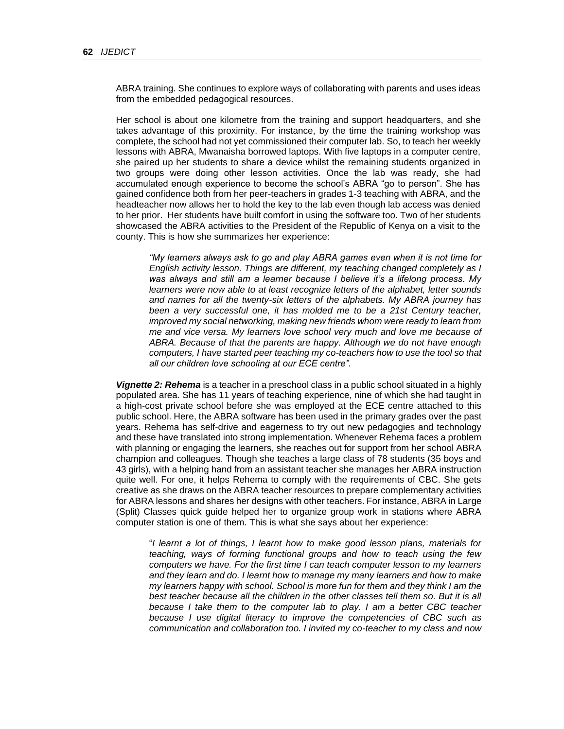ABRA training. She continues to explore ways of collaborating with parents and uses ideas from the embedded pedagogical resources.

Her school is about one kilometre from the training and support headquarters, and she takes advantage of this proximity. For instance, by the time the training workshop was complete, the school had not yet commissioned their computer lab. So, to teach her weekly lessons with ABRA, Mwanaisha borrowed laptops. With five laptops in a computer centre, she paired up her students to share a device whilst the remaining students organized in two groups were doing other lesson activities. Once the lab was ready, she had accumulated enough experience to become the school's ABRA "go to person". She has gained confidence both from her peer-teachers in grades 1-3 teaching with ABRA, and the headteacher now allows her to hold the key to the lab even though lab access was denied to her prior. Her students have built comfort in using the software too. Two of her students showcased the ABRA activities to the President of the Republic of Kenya on a visit to the county. This is how she summarizes her experience:

*"My learners always ask to go and play ABRA games even when it is not time for English activity lesson. Things are different, my teaching changed completely as I was always and still am a learner because I believe it's a lifelong process. My learners were now able to at least recognize letters of the alphabet, letter sounds and names for all the twenty-six letters of the alphabets. My ABRA journey has been a very successful one, it has molded me to be a 21st Century teacher, improved my social networking, making new friends whom were ready to learn from me and vice versa. My learners love school very much and love me because of ABRA. Because of that the parents are happy. Although we do not have enough computers, I have started peer teaching my co-teachers how to use the tool so that all our children love schooling at our ECE centre".*

*Vignette 2: Rehema* is a teacher in a preschool class in a public school situated in a highly populated area. She has 11 years of teaching experience, nine of which she had taught in a high-cost private school before she was employed at the ECE centre attached to this public school. Here, the ABRA software has been used in the primary grades over the past years. Rehema has self-drive and eagerness to try out new pedagogies and technology and these have translated into strong implementation. Whenever Rehema faces a problem with planning or engaging the learners, she reaches out for support from her school ABRA champion and colleagues. Though she teaches a large class of 78 students (35 boys and 43 girls), with a helping hand from an assistant teacher she manages her ABRA instruction quite well. For one, it helps Rehema to comply with the requirements of CBC. She gets creative as she draws on the ABRA teacher resources to prepare complementary activities for ABRA lessons and shares her designs with other teachers. For instance, ABRA in Large (Split) Classes quick guide helped her to organize group work in stations where ABRA computer station is one of them. This is what she says about her experience:

"*I learnt a lot of things, I learnt how to make good lesson plans, materials for teaching, ways of forming functional groups and how to teach using the few computers we have. For the first time I can teach computer lesson to my learners and they learn and do. I learnt how to manage my many learners and how to make my learners happy with school. School is more fun for them and they think I am the best teacher because all the children in the other classes tell them so. But it is all because I take them to the computer lab to play. I am a better CBC teacher because I use digital literacy to improve the competencies of CBC such as communication and collaboration too. I invited my co-teacher to my class and now*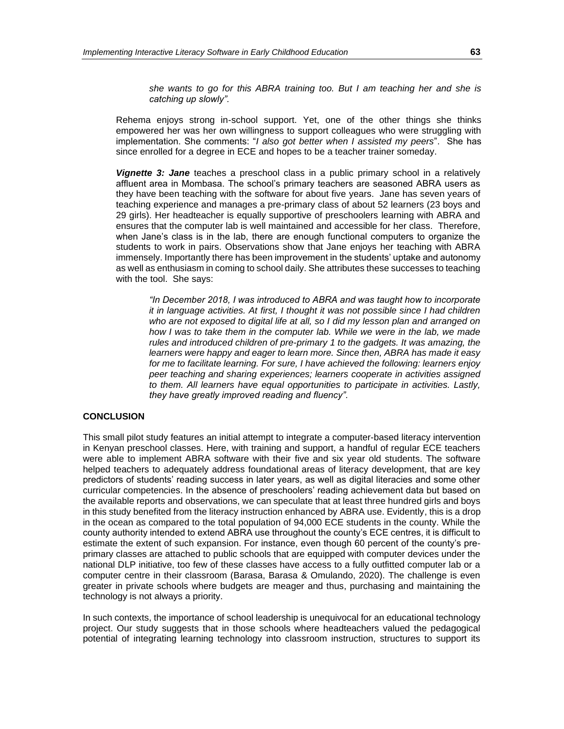*she wants to go for this ABRA training too. But I am teaching her and she is catching up slowly".*

Rehema enjoys strong in-school support. Yet, one of the other things she thinks empowered her was her own willingness to support colleagues who were struggling with implementation. She comments: "*I also got better when I assisted my peers*". She has since enrolled for a degree in ECE and hopes to be a teacher trainer someday.

*Vignette 3: Jane* teaches a preschool class in a public primary school in a relatively affluent area in Mombasa. The school's primary teachers are seasoned ABRA users as they have been teaching with the software for about five years. Jane has seven years of teaching experience and manages a pre-primary class of about 52 learners (23 boys and 29 girls). Her headteacher is equally supportive of preschoolers learning with ABRA and ensures that the computer lab is well maintained and accessible for her class. Therefore, when Jane's class is in the lab, there are enough functional computers to organize the students to work in pairs. Observations show that Jane enjoys her teaching with ABRA immensely. Importantly there has been improvement in the students' uptake and autonomy as well as enthusiasm in coming to school daily. She attributes these successes to teaching with the tool. She says:

*"In December 2018, I was introduced to ABRA and was taught how to incorporate it in language activities. At first, I thought it was not possible since I had children who are not exposed to digital life at all, so I did my lesson plan and arranged on how I was to take them in the computer lab. While we were in the lab, we made rules and introduced children of pre-primary 1 to the gadgets. It was amazing, the learners were happy and eager to learn more. Since then, ABRA has made it easy for me to facilitate learning. For sure, I have achieved the following: learners enjoy peer teaching and sharing experiences; learners cooperate in activities assigned to them. All learners have equal opportunities to participate in activities. Lastly, they have greatly improved reading and fluency".*

## **CONCLUSION**

This small pilot study features an initial attempt to integrate a computer-based literacy intervention in Kenyan preschool classes. Here, with training and support, a handful of regular ECE teachers were able to implement ABRA software with their five and six year old students. The software helped teachers to adequately address foundational areas of literacy development, that are key predictors of students' reading success in later years, as well as digital literacies and some other curricular competencies. In the absence of preschoolers' reading achievement data but based on the available reports and observations, we can speculate that at least three hundred girls and boys in this study benefited from the literacy instruction enhanced by ABRA use. Evidently, this is a drop in the ocean as compared to the total population of 94,000 ECE students in the county. While the county authority intended to extend ABRA use throughout the county's ECE centres, it is difficult to estimate the extent of such expansion. For instance, even though 60 percent of the county's preprimary classes are attached to public schools that are equipped with computer devices under the national DLP initiative, too few of these classes have access to a fully outfitted computer lab or a computer centre in their classroom (Barasa, Barasa & Omulando, 2020). The challenge is even greater in private schools where budgets are meager and thus, purchasing and maintaining the technology is not always a priority.

In such contexts, the importance of school leadership is unequivocal for an educational technology project. Our study suggests that in those schools where headteachers valued the pedagogical potential of integrating learning technology into classroom instruction, structures to support its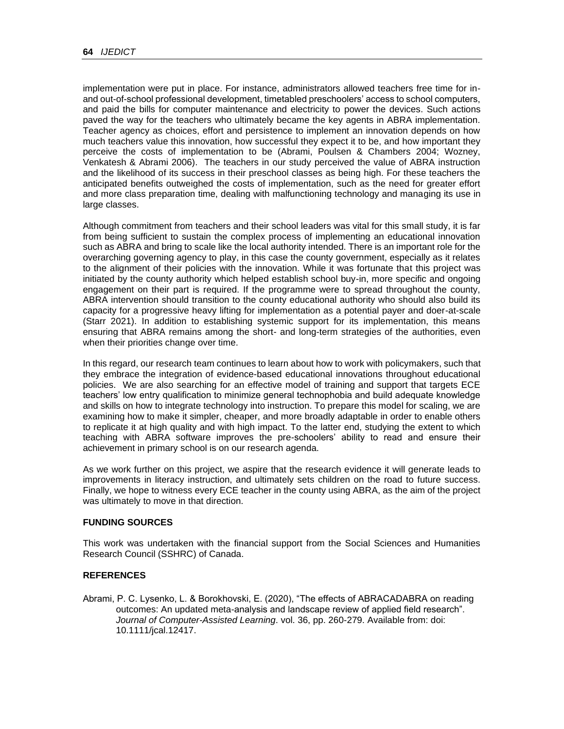implementation were put in place. For instance, administrators allowed teachers free time for inand out-of-school professional development, timetabled preschoolers' access to school computers, and paid the bills for computer maintenance and electricity to power the devices. Such actions paved the way for the teachers who ultimately became the key agents in ABRA implementation. Teacher agency as choices, effort and persistence to implement an innovation depends on how much teachers value this innovation, how successful they expect it to be, and how important they perceive the costs of implementation to be (Abrami, Poulsen & Chambers 2004; Wozney, Venkatesh & Abrami 2006). The teachers in our study perceived the value of ABRA instruction and the likelihood of its success in their preschool classes as being high. For these teachers the anticipated benefits outweighed the costs of implementation, such as the need for greater effort and more class preparation time, dealing with malfunctioning technology and managing its use in large classes.

Although commitment from teachers and their school leaders was vital for this small study, it is far from being sufficient to sustain the complex process of implementing an educational innovation such as ABRA and bring to scale like the local authority intended. There is an important role for the overarching governing agency to play, in this case the county government, especially as it relates to the alignment of their policies with the innovation. While it was fortunate that this project was initiated by the county authority which helped establish school buy-in, more specific and ongoing engagement on their part is required. If the programme were to spread throughout the county, ABRA intervention should transition to the county educational authority who should also build its capacity for a progressive heavy lifting for implementation as a potential payer and doer-at-scale (Starr 2021). In addition to establishing systemic support for its implementation, this means ensuring that ABRA remains among the short- and long-term strategies of the authorities, even when their priorities change over time.

In this regard, our research team continues to learn about how to work with policymakers, such that they embrace the integration of evidence-based educational innovations throughout educational policies. We are also searching for an effective model of training and support that targets ECE teachers' low entry qualification to minimize general technophobia and build adequate knowledge and skills on how to integrate technology into instruction. To prepare this model for scaling, we are examining how to make it simpler, cheaper, and more broadly adaptable in order to enable others to replicate it at high quality and with high impact. To the latter end, studying the extent to which teaching with ABRA software improves the pre-schoolers' ability to read and ensure their achievement in primary school is on our research agenda.

As we work further on this project, we aspire that the research evidence it will generate leads to improvements in literacy instruction, and ultimately sets children on the road to future success. Finally, we hope to witness every ECE teacher in the county using ABRA, as the aim of the project was ultimately to move in that direction.

## **FUNDING SOURCES**

This work was undertaken with the financial support from the Social Sciences and Humanities Research Council (SSHRC) of Canada.

## **REFERENCES**

Abrami, P. C. Lysenko, L. & Borokhovski, E. (2020), "The effects of ABRACADABRA on reading outcomes: An updated meta-analysis and landscape review of applied field research". *Journal of Computer-Assisted Learning*. vol. 36, pp. 260-279. Available from: doi: 10.1111/jcal.12417.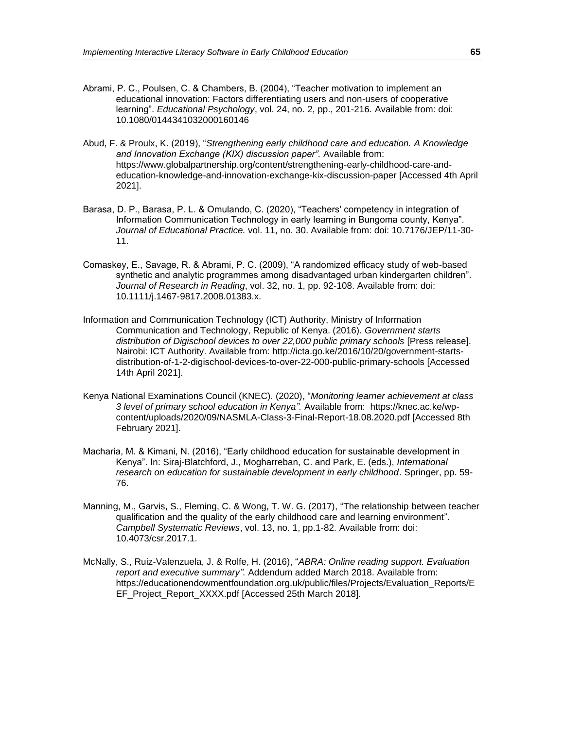- Abrami, P. C., Poulsen, C. & Chambers, B. (2004), "Teacher motivation to implement an educational innovation: Factors differentiating users and non-users of cooperative learning". *Educational Psychology*, vol. 24, no. 2, pp., 201-216. Available from: doi: 10.1080/0144341032000160146
- Abud, F. & Proulx, K. (2019), "*Strengthening early childhood care and education. A Knowledge and Innovation Exchange (KIX) discussion paper".* Available from: https://www.globalpartnership.org/content/strengthening-early-childhood-care-andeducation-knowledge-and-innovation-exchange-kix-discussion-paper [Accessed 4th April 2021].
- Barasa, D. P., Barasa, P. L. & Omulando, C. (2020), "Teachers' competency in integration of Information Communication Technology in early learning in Bungoma county, Kenya". *Journal of Educational Practice.* vol. 11, no. 30. Available from: doi: 10.7176/JEP/11-30- 11.
- Comaskey, E., Savage, R. & Abrami, P. C. (2009), "A randomized efficacy study of web-based synthetic and analytic programmes among disadvantaged urban kindergarten children". *Journal of Research in Reading*, vol. 32, no. 1, pp. 92-108. Available from: doi: 10.1111/j.1467-9817.2008.01383.x.
- Information and Communication Technology (ICT) Authority, Ministry of Information Communication and Technology, Republic of Kenya. (2016). *Government starts distribution of Digischool devices to over 22,000 public primary schools* [Press release]. Nairobi: ICT Authority. Available from: http://icta.go.ke/2016/10/20/government-startsdistribution-of-1-2-digischool-devices-to-over-22-000-public-primary-schools [Accessed 14th April 2021].
- Kenya National Examinations Council (KNEC). (2020), "*Monitoring learner achievement at class 3 level of primary school education in Kenya".* Available from: [https://knec.ac.ke/wp](https://knec.ac.ke/wp-content/uploads/2020/09/NASMLA-Class-3-Final-Report-18.08.2020.pdf)[content/uploads/2020/09/NASMLA-Class-3-Final-Report-18.08.2020.pdf](https://knec.ac.ke/wp-content/uploads/2020/09/NASMLA-Class-3-Final-Report-18.08.2020.pdf) [Accessed 8th February 2021].
- Macharia, M. & Kimani, N. (2016), "Early childhood education for sustainable development in Kenya". In: Siraj-Blatchford, J., Mogharreban, C. and Park, E. (eds.), *International research on education for sustainable development in early childhood*. Springer, pp. 59- 76.
- Manning, M., Garvis, S., Fleming, C. & Wong, T. W. G. (2017), "The relationship between teacher qualification and the quality of the early childhood care and learning environment". *Campbell Systematic Reviews*, vol. 13, no. 1, pp.1-82. Available from: doi: 10.4073/csr.2017.1.
- McNally, S., Ruiz-Valenzuela, J. & Rolfe, H. (2016), "*ABRA: Online reading support. Evaluation report and executive summary".* Addendum added March 2018. Available from: https://educationendowmentfoundation.org.uk/public/files/Projects/Evaluation\_Reports/E EF\_Project\_Report\_XXXX.pdf [Accessed 25th March 2018].